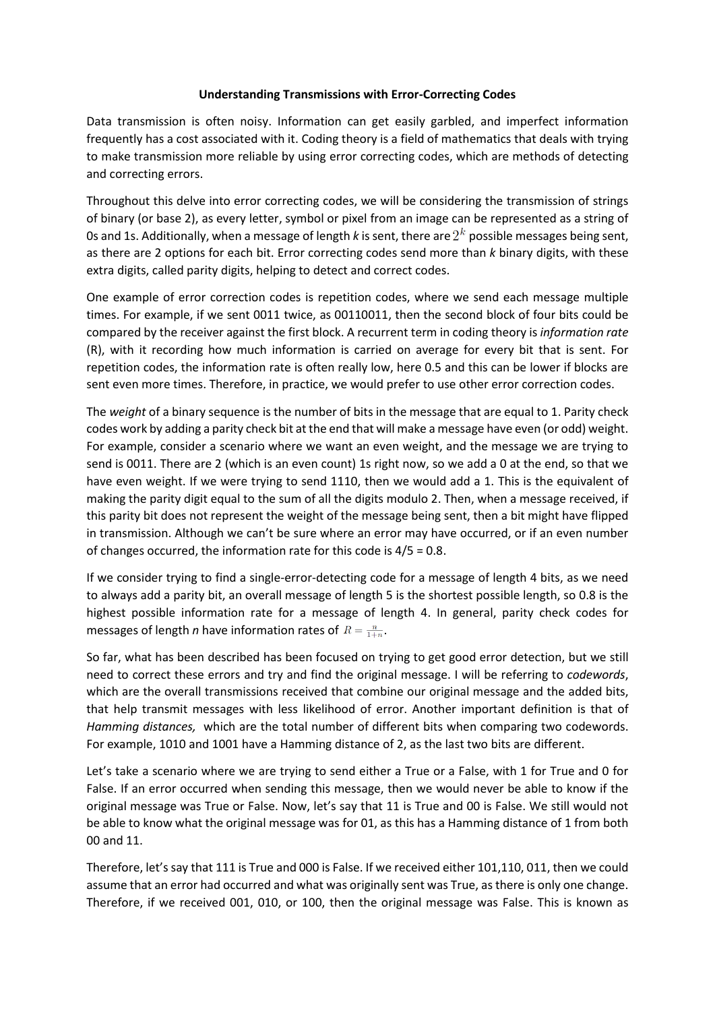## **Understanding Transmissions with Error-Correcting Codes**

Data transmission is often noisy. Information can get easily garbled, and imperfect information frequently has a cost associated with it. Coding theory is a field of mathematics that deals with trying to make transmission more reliable by using error correcting codes, which are methods of detecting and correcting errors.

Throughout this delve into error correcting codes, we will be considering the transmission of strings of binary (or base 2), as every letter, symbol or pixel from an image can be represented as a string of 0s and 1s. Additionally, when a message of length *k* is sent, there are  $2^k$  possible messages being sent, as there are 2 options for each bit. Error correcting codes send more than *k* binary digits, with these extra digits, called parity digits, helping to detect and correct codes.

One example of error correction codes is repetition codes, where we send each message multiple times. For example, if we sent 0011 twice, as 00110011, then the second block of four bits could be compared by the receiver against the first block. A recurrent term in coding theory is *information rate* (R), with it recording how much information is carried on average for every bit that is sent. For repetition codes, the information rate is often really low, here 0.5 and this can be lower if blocks are sent even more times. Therefore, in practice, we would prefer to use other error correction codes.

The *weight* of a binary sequence is the number of bits in the message that are equal to 1. Parity check codes work by adding a parity check bit at the end that will make a message have even (or odd) weight. For example, consider a scenario where we want an even weight, and the message we are trying to send is 0011. There are 2 (which is an even count) 1s right now, so we add a 0 at the end, so that we have even weight. If we were trying to send 1110, then we would add a 1. This is the equivalent of making the parity digit equal to the sum of all the digits modulo 2. Then, when a message received, if this parity bit does not represent the weight of the message being sent, then a bit might have flipped in transmission. Although we can't be sure where an error may have occurred, or if an even number of changes occurred, the information rate for this code is 4/5 = 0.8.

If we consider trying to find a single-error-detecting code for a message of length 4 bits, as we need to always add a parity bit, an overall message of length 5 is the shortest possible length, so 0.8 is the highest possible information rate for a message of length 4. In general, parity check codes for messages of length *n* have information rates of  $R = \frac{n}{1+n}$ .

So far, what has been described has been focused on trying to get good error detection, but we still need to correct these errors and try and find the original message. I will be referring to *codewords*, which are the overall transmissions received that combine our original message and the added bits, that help transmit messages with less likelihood of error. Another important definition is that of *Hamming distances,* which are the total number of different bits when comparing two codewords. For example, 1010 and 1001 have a Hamming distance of 2, as the last two bits are different.

Let's take a scenario where we are trying to send either a True or a False, with 1 for True and 0 for False. If an error occurred when sending this message, then we would never be able to know if the original message was True or False. Now, let's say that 11 is True and 00 is False. We still would not be able to know what the original message was for 01, as this has a Hamming distance of 1 from both 00 and 11.

Therefore, let's say that 111 is True and 000 is False. If we received either 101,110, 011, then we could assume that an error had occurred and what was originally sent was True, as there is only one change. Therefore, if we received 001, 010, or 100, then the original message was False. This is known as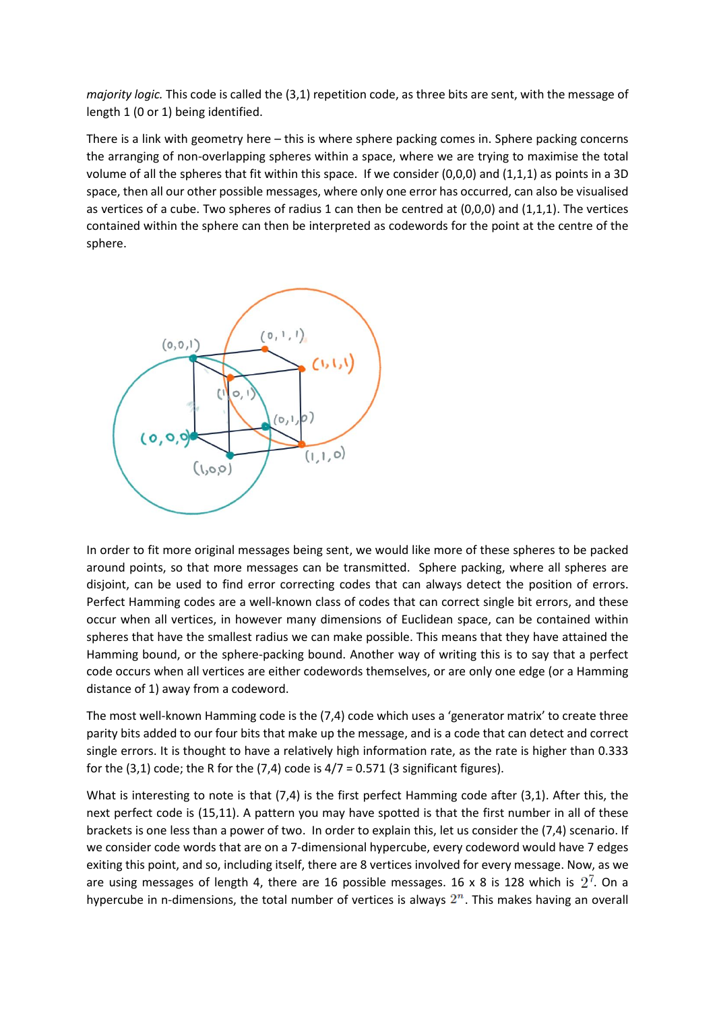*majority logic.* This code is called the (3,1) repetition code, as three bits are sent, with the message of length 1 (0 or 1) being identified.

There is a link with geometry here – this is where sphere packing comes in. Sphere packing concerns the arranging of non-overlapping spheres within a space, where we are trying to maximise the total volume of all the spheres that fit within this space. If we consider (0,0,0) and (1,1,1) as points in a 3D space, then all our other possible messages, where only one error has occurred, can also be visualised as vertices of a cube. Two spheres of radius 1 can then be centred at (0,0,0) and (1,1,1). The vertices contained within the sphere can then be interpreted as codewords for the point at the centre of the sphere.



In order to fit more original messages being sent, we would like more of these spheres to be packed around points, so that more messages can be transmitted. Sphere packing, where all spheres are disjoint, can be used to find error correcting codes that can always detect the position of errors. Perfect Hamming codes are a well-known class of codes that can correct single bit errors, and these occur when all vertices, in however many dimensions of Euclidean space, can be contained within spheres that have the smallest radius we can make possible. This means that they have attained the Hamming bound, or the sphere-packing bound. Another way of writing this is to say that a perfect code occurs when all vertices are either codewords themselves, or are only one edge (or a Hamming distance of 1) away from a codeword.

The most well-known Hamming code is the (7,4) code which uses a 'generator matrix' to create three parity bits added to our four bits that make up the message, and is a code that can detect and correct single errors. It is thought to have a relatively high information rate, as the rate is higher than 0.333 for the  $(3,1)$  code; the R for the  $(7,4)$  code is  $4/7 = 0.571$  (3 significant figures).

What is interesting to note is that (7,4) is the first perfect Hamming code after (3,1). After this, the next perfect code is (15,11). A pattern you may have spotted is that the first number in all of these brackets is one less than a power of two. In order to explain this, let us consider the (7,4) scenario. If we consider code words that are on a 7-dimensional hypercube, every codeword would have 7 edges exiting this point, and so, including itself, there are 8 vertices involved for every message. Now, as we are using messages of length 4, there are 16 possible messages. 16 x 8 is 128 which is  $2^7$ . On a hypercube in n-dimensions, the total number of vertices is always  $2<sup>n</sup>$ . This makes having an overall